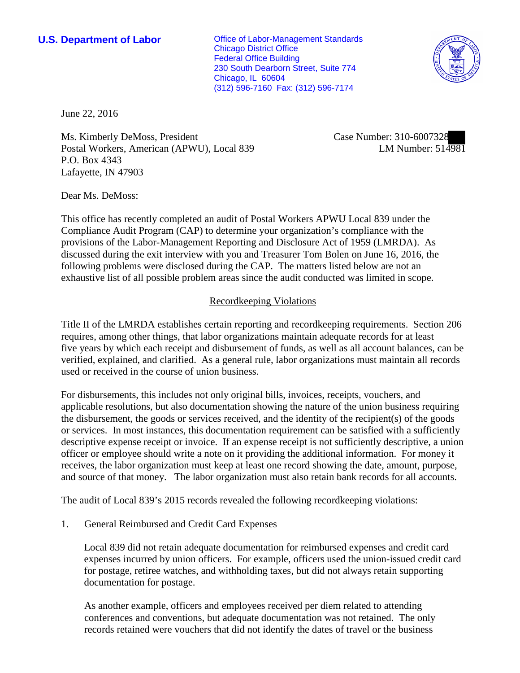**U.S. Department of Labor Conservative Conservative Conservative Conservative Conservative Conservative Conservative Conservative Conservative Conservative Conservative Conservative Conservative Conservative Conservative** Chicago District Office Federal Office Building 230 South Dearborn Street, Suite 774 Chicago, IL 60604 (312) 596-7160 Fax: (312) 596-7174



June 22, 2016

Ms. Kimberly DeMoss, President Postal Workers, American (APWU), Local 839 P.O. Box 4343 Lafayette, IN 47903

Case Number: 310-6007328 LM Number: 514981

Dear Ms. DeMoss:

This office has recently completed an audit of Postal Workers APWU Local 839 under the Compliance Audit Program (CAP) to determine your organization's compliance with the provisions of the Labor-Management Reporting and Disclosure Act of 1959 (LMRDA). As discussed during the exit interview with you and Treasurer Tom Bolen on June 16, 2016, the following problems were disclosed during the CAP. The matters listed below are not an exhaustive list of all possible problem areas since the audit conducted was limited in scope.

## Recordkeeping Violations

Title II of the LMRDA establishes certain reporting and recordkeeping requirements. Section 206 requires, among other things, that labor organizations maintain adequate records for at least five years by which each receipt and disbursement of funds, as well as all account balances, can be verified, explained, and clarified. As a general rule, labor organizations must maintain all records used or received in the course of union business.

For disbursements, this includes not only original bills, invoices, receipts, vouchers, and applicable resolutions, but also documentation showing the nature of the union business requiring the disbursement, the goods or services received, and the identity of the recipient(s) of the goods or services. In most instances, this documentation requirement can be satisfied with a sufficiently descriptive expense receipt or invoice. If an expense receipt is not sufficiently descriptive, a union officer or employee should write a note on it providing the additional information. For money it receives, the labor organization must keep at least one record showing the date, amount, purpose, and source of that money. The labor organization must also retain bank records for all accounts.

The audit of Local 839's 2015 records revealed the following recordkeeping violations:

1. General Reimbursed and Credit Card Expenses

Local 839 did not retain adequate documentation for reimbursed expenses and credit card expenses incurred by union officers. For example, officers used the union-issued credit card for postage, retiree watches, and withholding taxes, but did not always retain supporting documentation for postage.

As another example, officers and employees received per diem related to attending conferences and conventions, but adequate documentation was not retained. The only records retained were vouchers that did not identify the dates of travel or the business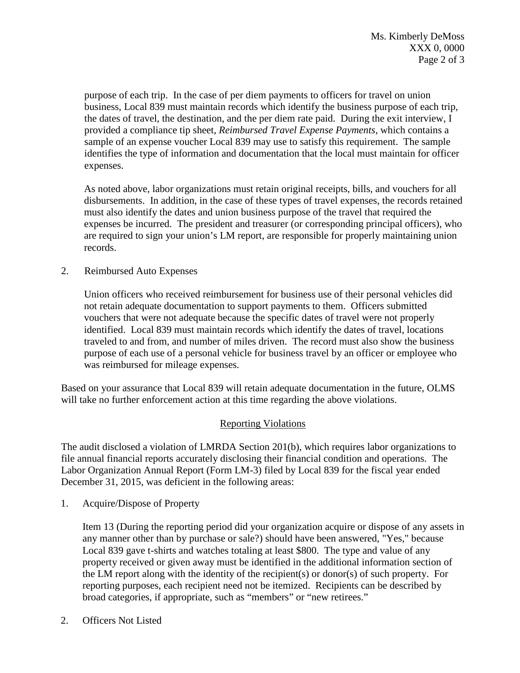purpose of each trip. In the case of per diem payments to officers for travel on union business, Local 839 must maintain records which identify the business purpose of each trip, the dates of travel, the destination, and the per diem rate paid. During the exit interview, I provided a compliance tip sheet, *Reimbursed Travel Expense Payments,* which contains a sample of an expense voucher Local 839 may use to satisfy this requirement. The sample identifies the type of information and documentation that the local must maintain for officer expenses.

As noted above, labor organizations must retain original receipts, bills, and vouchers for all disbursements. In addition, in the case of these types of travel expenses, the records retained must also identify the dates and union business purpose of the travel that required the expenses be incurred. The president and treasurer (or corresponding principal officers), who are required to sign your union's LM report, are responsible for properly maintaining union records.

2. Reimbursed Auto Expenses

Union officers who received reimbursement for business use of their personal vehicles did not retain adequate documentation to support payments to them. Officers submitted vouchers that were not adequate because the specific dates of travel were not properly identified. Local 839 must maintain records which identify the dates of travel, locations traveled to and from, and number of miles driven. The record must also show the business purpose of each use of a personal vehicle for business travel by an officer or employee who was reimbursed for mileage expenses.

Based on your assurance that Local 839 will retain adequate documentation in the future, OLMS will take no further enforcement action at this time regarding the above violations.

## Reporting Violations

The audit disclosed a violation of LMRDA Section 201(b), which requires labor organizations to file annual financial reports accurately disclosing their financial condition and operations. The Labor Organization Annual Report (Form LM-3) filed by Local 839 for the fiscal year ended December 31, 2015, was deficient in the following areas:

1. Acquire/Dispose of Property

Item 13 (During the reporting period did your organization acquire or dispose of any assets in any manner other than by purchase or sale?) should have been answered, "Yes," because Local 839 gave t-shirts and watches totaling at least \$800. The type and value of any property received or given away must be identified in the additional information section of the LM report along with the identity of the recipient(s) or donor(s) of such property. For reporting purposes, each recipient need not be itemized. Recipients can be described by broad categories, if appropriate, such as "members" or "new retirees."

2. Officers Not Listed